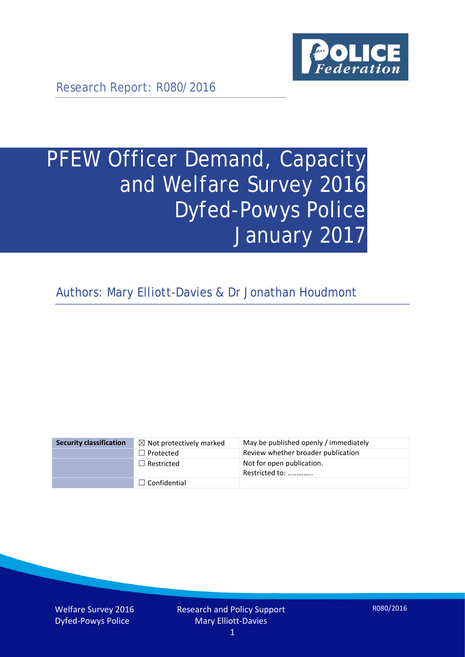

Research Report: R080/2016

# PFEW Officer Demand, Capacity and Welfare Survey 2016 Dyfed-Powys Police January 2017

Authors: Mary Elliott-Davies & Dr Jonathan Houdmont

| <b>Security classification</b> | $\boxtimes$ Not protectively marked | May be published openly / immediately       |
|--------------------------------|-------------------------------------|---------------------------------------------|
|                                | $\Box$ Protected                    | Review whether broader publication          |
|                                | $\Box$ Restricted                   | Not for open publication.<br>Restricted to: |
|                                | $\Box$ Confidential                 |                                             |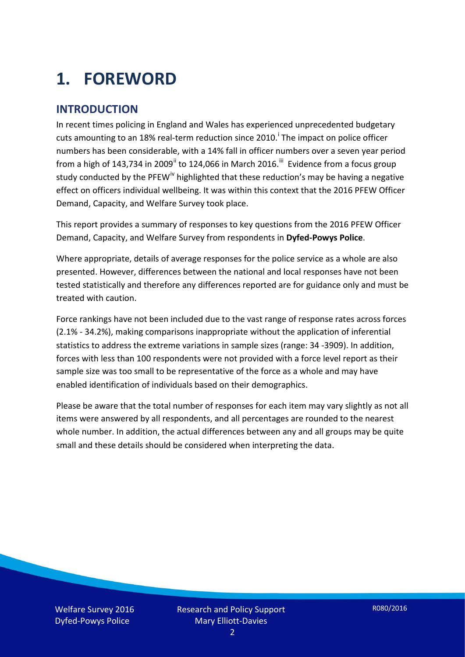# **1. FOREWORD**

### **INTRODUCTION**

In recent times policing in England and Wales has experienced unprecedented budgetary cuts amount[i](#page-15-0)ng to an 18% real-term reduction since 2010.<sup>1</sup> The impact on police officer numbers has been considerable, with a 14% fall in officer numbers over a seven year period from a high of 143,734 in 2009<sup>[ii](#page-15-1)</sup> to 124,066 in March 2016.<sup>[iii](#page-15-2)</sup> Evidence from a focus group study conducted by the PFEW<sup>[iv](#page-15-3)</sup> highlighted that these reduction's may be having a negative effect on officers individual wellbeing. It was within this context that the 2016 PFEW Officer Demand, Capacity, and Welfare Survey took place.

This report provides a summary of responses to key questions from the 2016 PFEW Officer Demand, Capacity, and Welfare Survey from respondents in **Dyfed-Powys Police**.

Where appropriate, details of average responses for the police service as a whole are also presented. However, differences between the national and local responses have not been tested statistically and therefore any differences reported are for guidance only and must be treated with caution.

Force rankings have not been included due to the vast range of response rates across forces (2.1% - 34.2%), making comparisons inappropriate without the application of inferential statistics to address the extreme variations in sample sizes (range: 34 -3909). In addition, forces with less than 100 respondents were not provided with a force level report as their sample size was too small to be representative of the force as a whole and may have enabled identification of individuals based on their demographics.

Please be aware that the total number of responses for each item may vary slightly as not all items were answered by all respondents, and all percentages are rounded to the nearest whole number. In addition, the actual differences between any and all groups may be quite small and these details should be considered when interpreting the data.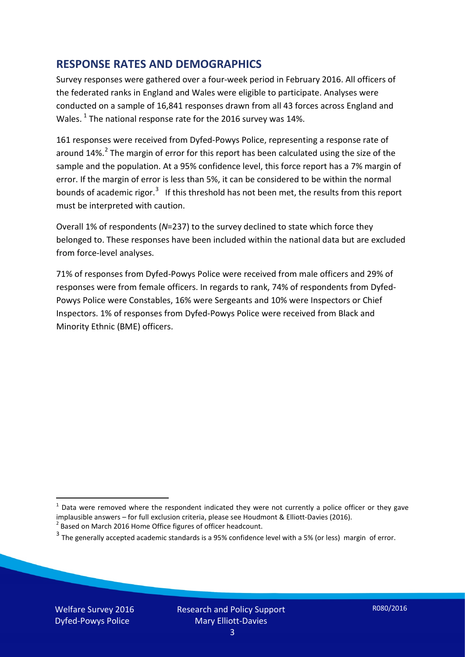### **RESPONSE RATES AND DEMOGRAPHICS**

Survey responses were gathered over a four-week period in February 2016. All officers of the federated ranks in England and Wales were eligible to participate. Analyses were conducted on a sample of 16,841 responses drawn from all 43 forces across England and Wales.  $^1$  $^1$  The national response rate for the 2016 survey was 14%.

161 responses were received from Dyfed-Powys Police, representing a response rate of around 14%.<sup>[2](#page-2-1)</sup> The margin of error for this report has been calculated using the size of the sample and the population. At a 95% confidence level, this force report has a 7% margin of error. If the margin of error is less than 5%, it can be considered to be within the normal bounds of academic rigor.<sup>[3](#page-2-2)</sup> If this threshold has not been met, the results from this report must be interpreted with caution.

Overall 1% of respondents (*N*=237) to the survey declined to state which force they belonged to. These responses have been included within the national data but are excluded from force-level analyses.

71% of responses from Dyfed-Powys Police were received from male officers and 29% of responses were from female officers. In regards to rank, 74% of respondents from Dyfed-Powys Police were Constables, 16% were Sergeants and 10% were Inspectors or Chief Inspectors. 1% of responses from Dyfed-Powys Police were received from Black and Minority Ethnic (BME) officers.

-

<span id="page-2-0"></span> $1$  Data were removed where the respondent indicated they were not currently a police officer or they gave implausible answers – for full exclusion criteria, please see Houdmont & Elliott-Davies (2016).<br><sup>2</sup> Based on March 2016 Home Office figures of officer headcount.

<span id="page-2-1"></span>

<span id="page-2-2"></span> $3$  The generally accepted academic standards is a 95% confidence level with a 5% (or less) margin of error.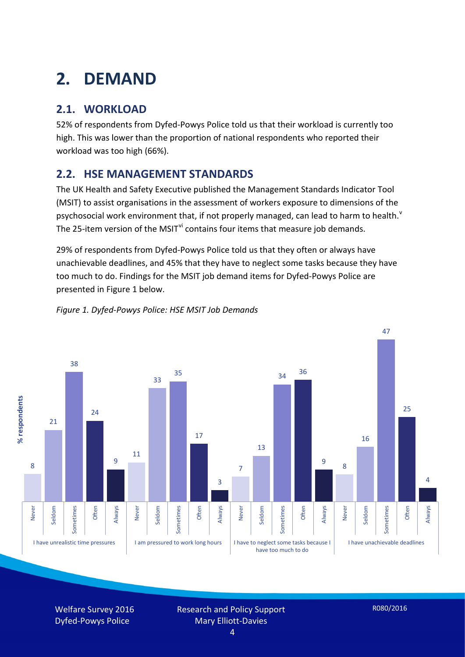# **2. DEMAND**

## **2.1. WORKLOAD**

52% of respondents from Dyfed-Powys Police told us that their workload is currently too high. This was lower than the proportion of national respondents who reported their workload was too high (66%).

## **2.2. HSE MANAGEMENT STANDARDS**

The UK Health and Safety Executive published the Management Standards Indicator Tool (MSIT) to assist organisations in the assessment of workers exposure to dimensions of the psychosocial work en[v](#page-15-4)ironment that, if not properly managed, can lead to harm to health.<sup>v</sup> The 25-item version of the MSIT<sup>[vi](#page-15-5)</sup> contains four items that measure job demands.

29% of respondents from Dyfed-Powys Police told us that they often or always have unachievable deadlines, and 45% that they have to neglect some tasks because they have too much to do. Findings for the MSIT job demand items for Dyfed-Powys Police are presented in Figure 1 below.



#### *Figure 1. Dyfed-Powys Police: HSE MSIT Job Demands*

Welfare Survey 2016 Dyfed-Powys Police

Research and Policy Support Mary Elliott-Davies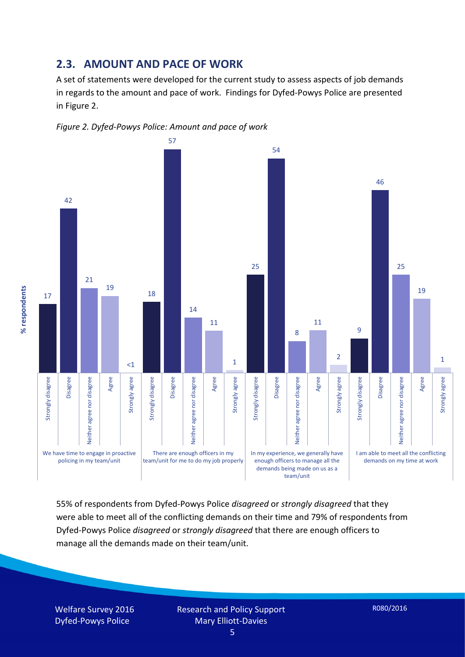#### **2.3. AMOUNT AND PACE OF WORK**

A set of statements were developed for the current study to assess aspects of job demands in regards to the amount and pace of work. Findings for Dyfed-Powys Police are presented in Figure 2.





55% of respondents from Dyfed-Powys Police *disagreed* or *strongly disagreed* that they were able to meet all of the conflicting demands on their time and 79% of respondents from Dyfed-Powys Police *disagreed* or *strongly disagreed* that there are enough officers to manage all the demands made on their team/unit.

Welfare Survey 2016 Dyfed-Powys Police

% respondents **% respondents**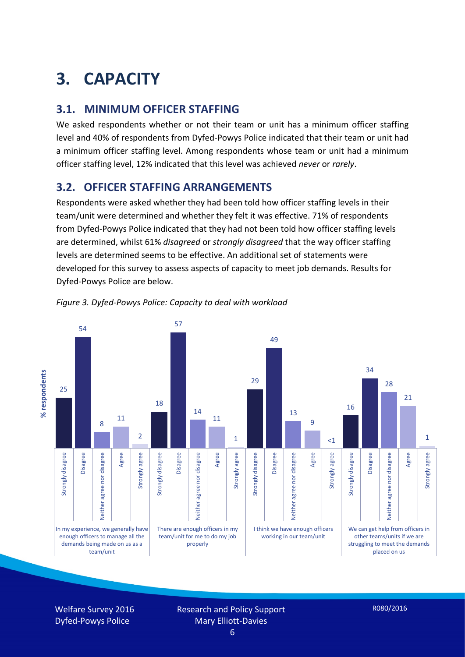# **3. CAPACITY**

### **3.1. MINIMUM OFFICER STAFFING**

We asked respondents whether or not their team or unit has a minimum officer staffing level and 40% of respondents from Dyfed-Powys Police indicated that their team or unit had a minimum officer staffing level. Among respondents whose team or unit had a minimum officer staffing level, 12% indicated that this level was achieved *never* or *rarely*.

### **3.2. OFFICER STAFFING ARRANGEMENTS**

Respondents were asked whether they had been told how officer staffing levels in their team/unit were determined and whether they felt it was effective. 71% of respondents from Dyfed-Powys Police indicated that they had not been told how officer staffing levels are determined, whilst 61% *disagreed* or *strongly disagreed* that the way officer staffing levels are determined seems to be effective. An additional set of statements were developed for this survey to assess aspects of capacity to meet job demands. Results for Dyfed-Powys Police are below.



*Figure 3. Dyfed-Powys Police: Capacity to deal with workload*

Welfare Survey 2016 Dyfed-Powys Police

Research and Policy Support Mary Elliott-Davies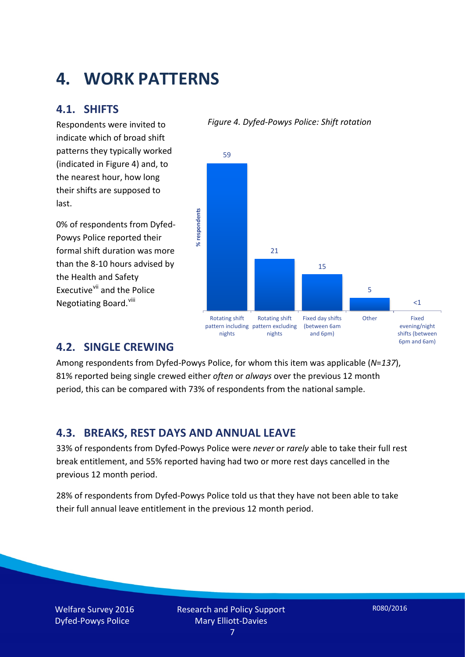# **4. WORK PATTERNS**

### **4.1. SHIFTS**

Respondents were invited to indicate which of broad shift patterns they typically worked (indicated in Figure 4) and, to the nearest hour, how long their shifts are supposed to last.

0% of respondents from Dyfed-Powys Police reported their formal shift duration was more than the 8-10 hours advised by the Health and Safety Executive<sup>[vii](#page-15-6)</sup> and the Police Negotiating Board.<sup>[viii](#page-15-7)</sup>

#### *Figure 4. Dyfed-Powys Police: Shift rotation*



### **4.2. SINGLE CREWING**

Among respondents from Dyfed-Powys Police, for whom this item was applicable (*N*=*137*), 81% reported being single crewed either *often* or *always* over the previous 12 month period, this can be compared with 73% of respondents from the national sample.

### **4.3. BREAKS, REST DAYS AND ANNUAL LEAVE**

33% of respondents from Dyfed-Powys Police were *never* or *rarely* able to take their full rest break entitlement, and 55% reported having had two or more rest days cancelled in the previous 12 month period.

28% of respondents from Dyfed-Powys Police told us that they have not been able to take their full annual leave entitlement in the previous 12 month period.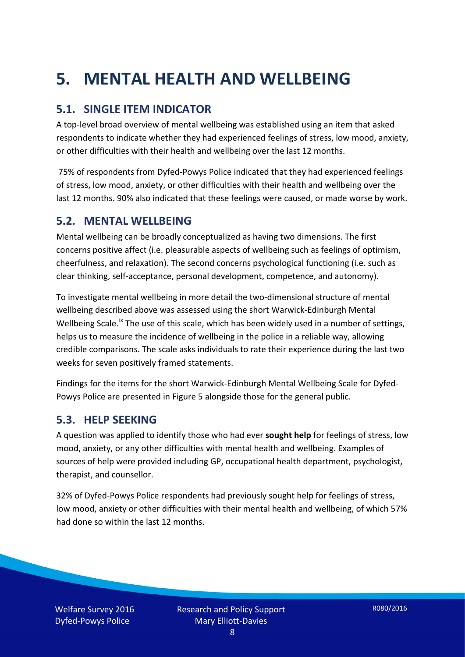# **5. MENTAL HEALTH AND WELLBEING**

## **5.1. SINGLE ITEM INDICATOR**

A top-level broad overview of mental wellbeing was established using an item that asked respondents to indicate whether they had experienced feelings of stress, low mood, anxiety, or other difficulties with their health and wellbeing over the last 12 months.

75% of respondents from Dyfed-Powys Police indicated that they had experienced feelings of stress, low mood, anxiety, or other difficulties with their health and wellbeing over the last 12 months. 90% also indicated that these feelings were caused, or made worse by work.

### **5.2. MENTAL WELLBEING**

Mental wellbeing can be broadly conceptualized as having two dimensions. The first concerns positive affect (i.e. pleasurable aspects of wellbeing such as feelings of optimism, cheerfulness, and relaxation). The second concerns psychological functioning (i.e. such as clear thinking, self-acceptance, personal development, competence, and autonomy).

To investigate mental wellbeing in more detail the two-dimensional structure of mental wellbeing described above was assessed using the short Warwick-Edinburgh Mental Wellbeing Scale.<sup>[ix](#page-15-8)</sup> The use of this scale, which has been widely used in a number of settings, helps us to measure the incidence of wellbeing in the police in a reliable way, allowing credible comparisons. The scale asks individuals to rate their experience during the last two weeks for seven positively framed statements.

Findings for the items for the short Warwick-Edinburgh Mental Wellbeing Scale for Dyfed-Powys Police are presented in Figure 5 alongside those for the general public.

### **5.3. HELP SEEKING**

A question was applied to identify those who had ever **sought help** for feelings of stress, low mood, anxiety, or any other difficulties with mental health and wellbeing. Examples of sources of help were provided including GP, occupational health department, psychologist, therapist, and counsellor.

32% of Dyfed-Powys Police respondents had previously sought help for feelings of stress, low mood, anxiety or other difficulties with their mental health and wellbeing, of which 57% had done so within the last 12 months.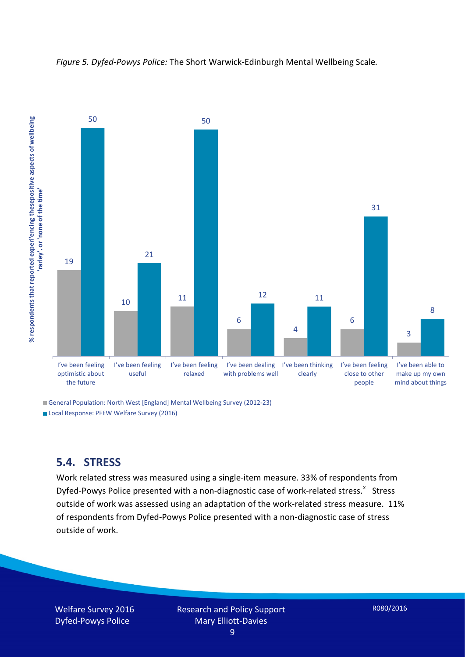

*Figure 5. Dyfed-Powys Police:* The Short Warwick-Edinburgh Mental Wellbeing Scale*.*

General Population: North West [England] Mental Wellbeing Survey (2012-23)

Local Response: PFEW Welfare Survey (2016)

#### **5.4. STRESS**

Work related stress was measured using a single-item measure. 33% of respondents from Dyfed-Powys Police presented with a non-diagnostic case of work-related stress.<sup>[x](#page-15-9)</sup> Stress outside of work was assessed using an adaptation of the work-related stress measure. 11% of respondents from Dyfed-Powys Police presented with a non-diagnostic case of stress outside of work.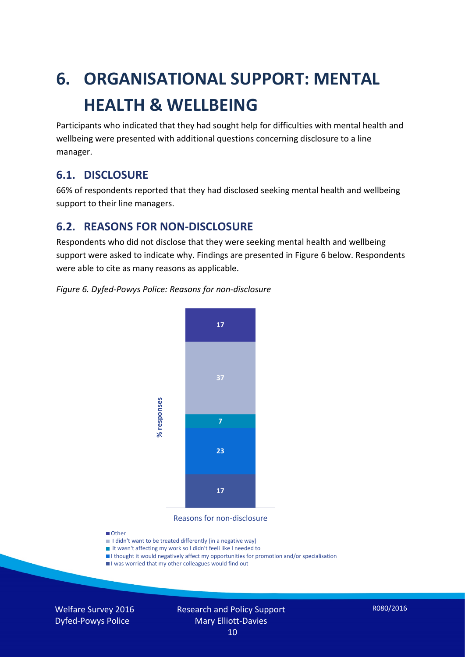# **6. ORGANISATIONAL SUPPORT: MENTAL HEALTH & WELLBEING**

Participants who indicated that they had sought help for difficulties with mental health and wellbeing were presented with additional questions concerning disclosure to a line manager.

### **6.1. DISCLOSURE**

66% of respondents reported that they had disclosed seeking mental health and wellbeing support to their line managers.

### **6.2. REASONS FOR NON-DISCLOSURE**

Respondents who did not disclose that they were seeking mental health and wellbeing support were asked to indicate why. Findings are presented in Figure 6 below. Respondents were able to cite as many reasons as applicable.

#### *Figure 6. Dyfed-Powys Police: Reasons for non-disclosure*



Reasons for non-disclosure

#### **D**Other

- I didn't want to be treated differently (in a negative way)
- I It wasn't affecting my work so I didn't feeli like I needed to
- I thought it would negatively affect my opportunities for promotion and/or specialisation
- I was worried that my other colleagues would find out

Welfare Survey 2016 Dyfed-Powys Police

#### Research and Policy Support Mary Elliott-Davies 10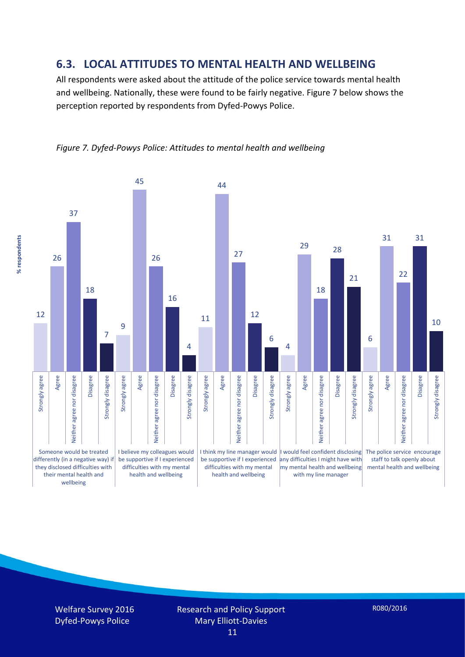### **6.3. LOCAL ATTITUDES TO MENTAL HEALTH AND WELLBEING**

All respondents were asked about the attitude of the police service towards mental health and wellbeing. Nationally, these were found to be fairly negative. Figure 7 below shows the perception reported by respondents from Dyfed-Powys Police.



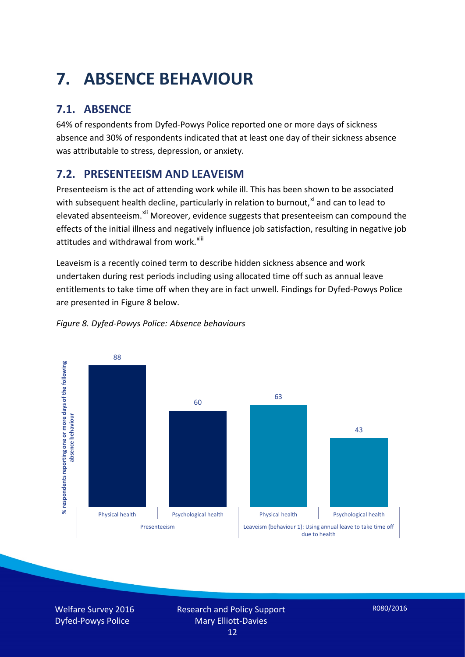# **7. ABSENCE BEHAVIOUR**

## **7.1. ABSENCE**

64% of respondents from Dyfed-Powys Police reported one or more days of sickness absence and 30% of respondents indicated that at least one day of their sickness absence was attributable to stress, depression, or anxiety.

## **7.2. PRESENTEEISM AND LEAVEISM**

Presenteeism is the act of attending work while ill. This has been shown to be associated with subsequent health decline, particularly in relation to burnout, $x_i$  and can to lead to elevated absenteeism.<sup>[xii](#page-16-1)</sup> Moreover, evidence suggests that presenteeism can compound the effects of the initial illness and negatively influence job satisfaction, resulting in negative job attitudes and withdrawal from work.<sup>[xiii](#page-16-2)</sup>

Leaveism is a recently coined term to describe hidden sickness absence and work undertaken during rest periods including using allocated time off such as annual leave entitlements to take time off when they are in fact unwell. Findings for Dyfed-Powys Police are presented in Figure 8 below.



#### *Figure 8. Dyfed-Powys Police: Absence behaviours*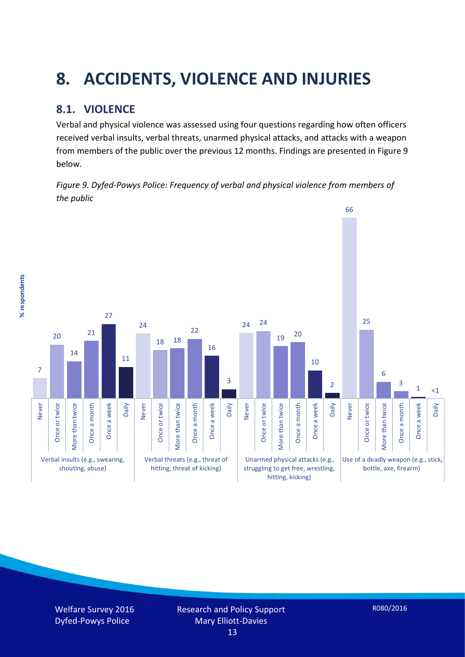# **8. ACCIDENTS, VIOLENCE AND INJURIES**

## **8.1. VIOLENCE**

% respondents **% respondents** Verbal and physical violence was assessed using four questions regarding how often officers received verbal insults, verbal threats, unarmed physical attacks, and attacks with a weapon from members of the public over the previous 12 months. Findings are presented in Figure 9 below.

*Figure 9. Dyfed-Powys Police: Frequency of verbal and physical violence from members of the public*



Welfare Survey 2016 Dyfed-Powys Police

R080/2016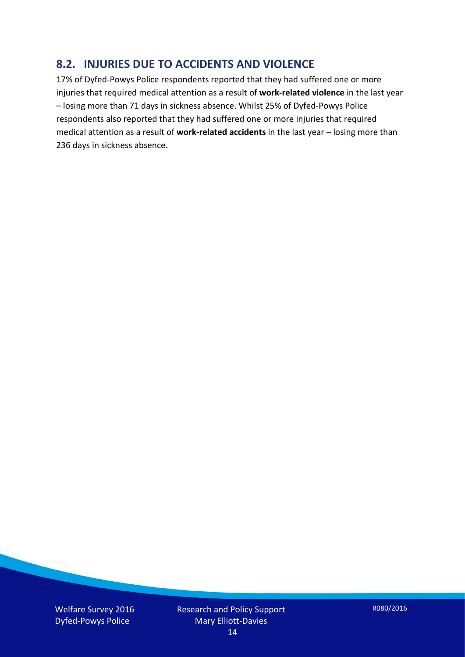### **8.2. INJURIES DUE TO ACCIDENTS AND VIOLENCE**

17% of Dyfed-Powys Police respondents reported that they had suffered one or more injuries that required medical attention as a result of **work-related violence** in the last year – losing more than 71 days in sickness absence. Whilst 25% of Dyfed-Powys Police respondents also reported that they had suffered one or more injuries that required medical attention as a result of **work-related accidents** in the last year – losing more than 236 days in sickness absence.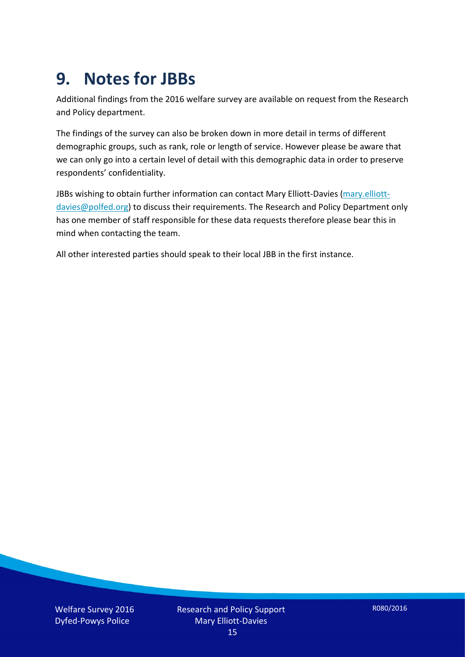# **9. Notes for JBBs**

Additional findings from the 2016 welfare survey are available on request from the Research and Policy department.

The findings of the survey can also be broken down in more detail in terms of different demographic groups, such as rank, role or length of service. However please be aware that we can only go into a certain level of detail with this demographic data in order to preserve respondents' confidentiality.

JBBs wishing to obtain further information can contact Mary Elliott-Davies [\(mary.elliott](mailto:mary.elliott-davies@polfed.org)[davies@polfed.org\)](mailto:mary.elliott-davies@polfed.org) to discuss their requirements. The Research and Policy Department only has one member of staff responsible for these data requests therefore please bear this in mind when contacting the team.

All other interested parties should speak to their local JBB in the first instance.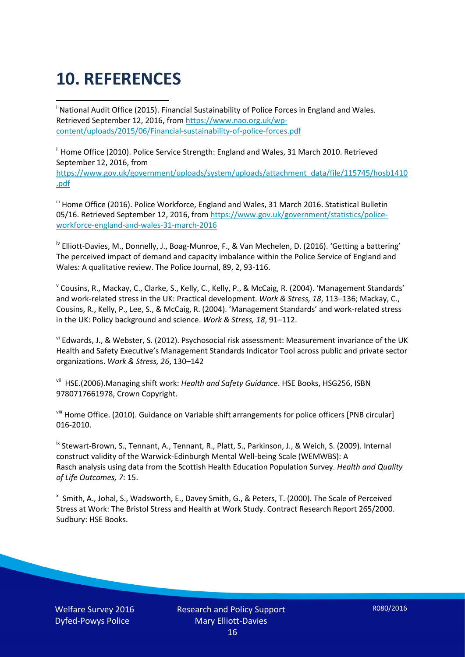# **10. REFERENCES**

<span id="page-15-0"></span>i National Audit Office (2015). Financial Sustainability of Police Forces in England and Wales. Retrieved September 12, 2016, fro[m https://www.nao.org.uk/wp](https://www.nao.org.uk/wp-content/uploads/2015/06/Financial-sustainability-of-police-forces.pdf)[content/uploads/2015/06/Financial-sustainability-of-police-forces.pdf](https://www.nao.org.uk/wp-content/uploads/2015/06/Financial-sustainability-of-police-forces.pdf)

<span id="page-15-1"></span><sup>ii</sup> Home Office (2010). Police Service Strength: England and Wales, 31 March 2010. Retrieved September 12, 2016, from [https://www.gov.uk/government/uploads/system/uploads/attachment\\_data/file/115745/hosb1410](https://www.gov.uk/government/uploads/system/uploads/attachment_data/file/115745/hosb1410.pdf) [.pdf](https://www.gov.uk/government/uploads/system/uploads/attachment_data/file/115745/hosb1410.pdf)

<span id="page-15-2"></span><sup>iii</sup> Home Office (2016). Police Workforce, England and Wales, 31 March 2016. Statistical Bulletin 05/16. Retrieved September 12, 2016, fro[m https://www.gov.uk/government/statistics/police](https://www.gov.uk/government/statistics/police-workforce-england-and-wales-31-march-2016)[workforce-england-and-wales-31-march-2016](https://www.gov.uk/government/statistics/police-workforce-england-and-wales-31-march-2016)

<span id="page-15-3"></span><sup>iv</sup> Elliott-Davies, M., Donnelly, J., Boag-Munroe, F., & Van Mechelen, D. (2016). 'Getting a battering' The perceived impact of demand and capacity imbalance within the Police Service of England and Wales: A qualitative review. The Police Journal, 89, 2, 93-116.

<span id="page-15-4"></span><sup>v</sup> Cousins, R., Mackay, C., Clarke, S., Kelly, C., Kelly, P., & McCaig, R. (2004). 'Management Standards' and work-related stress in the UK: Practical development. *Work & Stress, 18*, 113–136; Mackay, C., Cousins, R., Kelly, P., Lee, S., & McCaig, R. (2004). 'Management Standards' and work-related stress in the UK: Policy background and science. *Work & Stress, 18*, 91–112.

<span id="page-15-5"></span>vi Edwards, J., & Webster, S. (2012). Psychosocial risk assessment: Measurement invariance of the UK Health and Safety Executive's Management Standards Indicator Tool across public and private sector organizations. *Work & Stress, 26*, 130–142

<span id="page-15-6"></span>vii HSE.(2006).Managing shift work: *Health and Safety Guidance*. HSE Books, HSG256, ISBN 9780717661978, Crown Copyright.

<span id="page-15-7"></span>viii Home Office. (2010). Guidance on Variable shift arrangements for police officers [PNB circular] 016-2010.

<span id="page-15-8"></span><sup>ix</sup> Stewart-Brown, S., Tennant, A., Tennant, R., Platt, S., Parkinson, J., & Weich, S. (2009). Internal construct validity of the Warwick-Edinburgh Mental Well-being Scale (WEMWBS): A Rasch analysis using data from the Scottish Health Education Population Survey. *Health and Quality of Life Outcomes, 7*: 15.

<span id="page-15-9"></span>x Smith, A., Johal, S., Wadsworth, E., Davey Smith, G., & Peters, T. (2000). The Scale of Perceived Stress at Work: The Bristol Stress and Health at Work Study. Contract Research Report 265/2000. Sudbury: HSE Books.